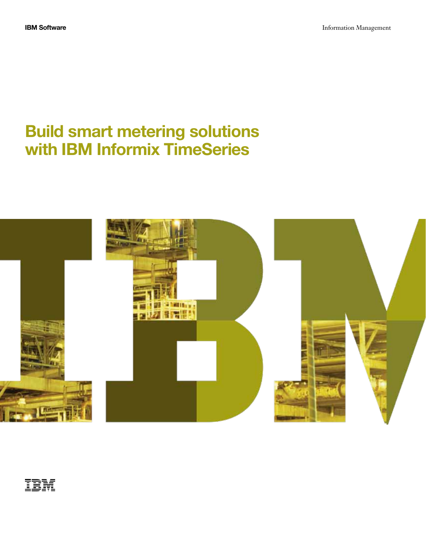# Build smart metering solutions with IBM Informix TimeSeries



IBM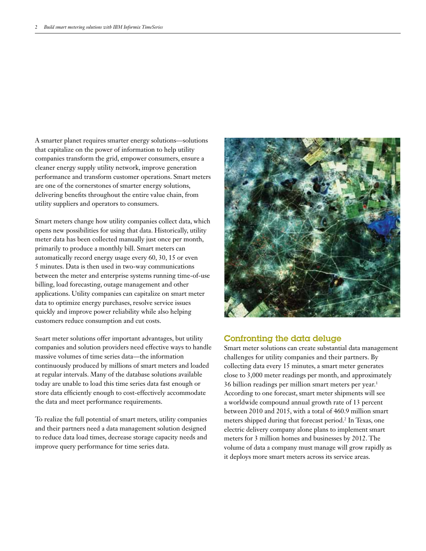A smarter planet requires smarter energy solutions—solutions that capitalize on the power of information to help utility companies transform the grid, empower consumers, ensure a cleaner energy supply utility network, improve generation performance and transform customer operations. Smart meters are one of the cornerstones of smarter energy solutions, delivering benefits throughout the entire value chain, from utility suppliers and operators to consumers.

Smart meters change how utility companies collect data, which opens new possibilities for using that data. Historically, utility meter data has been collected manually just once per month, primarily to produce a monthly bill. Smart meters can automatically record energy usage every 60, 30, 15 or even 5 minutes. Data is then used in two-way communications between the meter and enterprise systems running time-of-use billing, load forecasting, outage management and other applications. Utility companies can capitalize on smart meter data to optimize energy purchases, resolve service issues quickly and improve power reliability while also helping customers reduce consumption and cut costs.

Smart meter solutions offer important advantages, but utility companies and solution providers need effective ways to handle massive volumes of time series data—the information continuously produced by millions of smart meters and loaded at regular intervals. Many of the database solutions available today are unable to load this time series data fast enough or store data efficiently enough to cost-effectively accommodate the data and meet performance requirements.

To realize the full potential of smart meters, utility companies and their partners need a data management solution designed to reduce data load times, decrease storage capacity needs and improve query performance for time series data.



## Confronting the data deluge

Smart meter solutions can create substantial data management challenges for utility companies and their partners. By collecting data every 15 minutes, a smart meter generates close to 3,000 meter readings per month, and approximately 36 billion readings per million smart meters per year.<sup>1</sup> According to one forecast, smart meter shipments will see a worldwide compound annual growth rate of 13 percent between 2010 and 2015, with a total of 460.9 million smart meters shipped during that forecast period.<sup>2</sup> In Texas, one electric delivery company alone plans to implement smart meters for 3 million homes and businesses by 2012. The volume of data a company must manage will grow rapidly as it deploys more smart meters across its service areas.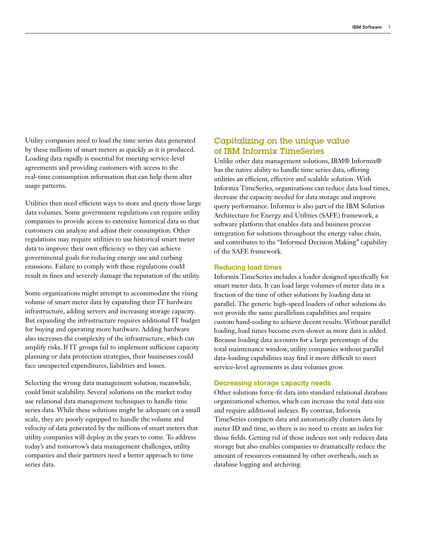Utility companies need to load the time series data generated by these millions of smart meters as quickly as it is produced. Loading data rapidly is essential for meeting service-level agreements and providing customers with access to the real-time consumption information that can help them alter usage patterns.

Utilities then need efficient ways to store and query those large data volumes. Some government regulations can require utility companies to provide access to extensive historical data so that customers can analyze and adjust their consumption. Other regulations may require utilities to use historical smart meter data to improve their own efficiency so they can achieve governmental goals for reducing energy use and curbing emissions. Failure to comply with these regulations could result in fines and severely damage the reputation of the utility.

Some organizations might attempt to accommodate the rising volume of smart meter data by expanding their IT hardware infrastructure, adding servers and increasing storage capacity. But expanding the infrastructure requires additional IT budget for buying and operating more hardware. Adding hardware also increases the complexity of the infrastructure, which can amplify risks. If IT groups fail to implement sufficient capacity planning or data protection strategies, their businesses could face unexpected expenditures, liabilities and losses.

Selecting the wrong data management solution, meanwhile, could limit scalability. Several solutions on the market today use relational data management techniques to handle time series data. While these solutions might be adequate on a small scale, they are poorly equipped to handle the volume and velocity of data generated by the millions of smart meters that utility companies will deploy in the years to come. To address today's and tomorrow's data management challenges, utility companies and their partners need a better approach to time series data.

## Capitalizing on the unique value of IBM Informix TimeSeries

Unlike other data management solutions, IBM® Informix® has the native ability to handle time series data, offering utilities an efficient, effective and scalable solution. With Informix TimeSeries, organizations can reduce data load times, decrease the capacity needed for data storage and improve query performance. Informix is also part of the IBM Solution Architecture for Energy and Utilities (SAFE) framework, a software platform that enables data and business process integration for solutions throughout the energy value chain, and contributes to the "Informed Decision Making" capability of the SAFE framework.

#### Reducing load times

Informix TimeSeries includes a loader designed specifically for smart meter data. It can load large volumes of meter data in a fraction of the time of other solutions by loading data in parallel. The generic high-speed loaders of other solutions do not provide the same parallelism capabilities and require custom hand-coding to achieve decent results. Without parallel loading, load times become even slower as more data is added. Because loading data accounts for a large percentage of the total maintenance window, utility companies without parallel data-loading capabilities may find it more difficult to meet service-level agreements as data volumes grow.

#### Decreasing storage capacity needs

Other solutions force-fit data into standard relational database organizational schemes, which can increase the total data size and require additional indexes. By contrast, Informix TimeSeries compacts data and automatically clusters data by meter ID and time, so there is no need to create an index for those fields. Getting rid of those indexes not only reduces data storage but also enables companies to dramatically reduce the amount of resources consumed by other overheads, such as database logging and archiving.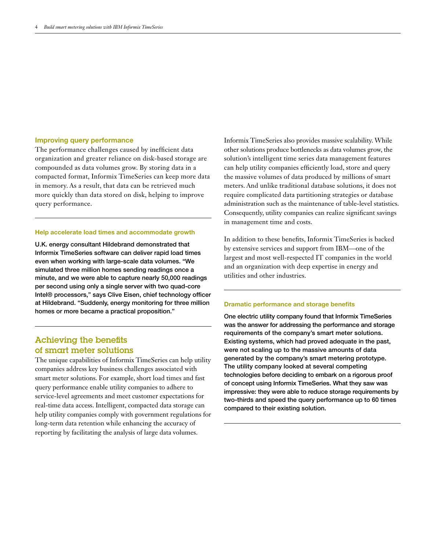### Improving query performance

The performance challenges caused by inefficient data organization and greater reliance on disk-based storage are compounded as data volumes grow. By storing data in a compacted format, Informix TimeSeries can keep more data in memory. As a result, that data can be retrieved much more quickly than data stored on disk, helping to improve query performance.

## Help accelerate load times and accommodate growth

U.K. energy consultant Hildebrand demonstrated that Informix TimeSeries software can deliver rapid load times even when working with large-scale data volumes. "We simulated three million homes sending readings once a minute, and we were able to capture nearly 50,000 readings per second using only a single server with two quad-core Intel® processors," says Clive Eisen, chief technology officer at Hildebrand. "Suddenly, energy monitoring for three million homes or more became a practical proposition."

# Achieving the benefits of smart meter solutions

The unique capabilities of Informix TimeSeries can help utility companies address key business challenges associated with smart meter solutions. For example, short load times and fast query performance enable utility companies to adhere to service-level agreements and meet customer expectations for real-time data access. Intelligent, compacted data storage can help utility companies comply with government regulations for long-term data retention while enhancing the accuracy of reporting by facilitating the analysis of large data volumes.

Informix TimeSeries also provides massive scalability. While other solutions produce bottlenecks as data volumes grow, the solution's intelligent time series data management features can help utility companies efficiently load, store and query the massive volumes of data produced by millions of smart meters. And unlike traditional database solutions, it does not require complicated data partitioning strategies or database administration such as the maintenance of table-level statistics. Consequently, utility companies can realize significant savings in management time and costs.

In addition to these benefits, Informix TimeSeries is backed by extensive services and support from IBM—one of the largest and most well-respected IT companies in the world and an organization with deep expertise in energy and utilities and other industries.

#### Dramatic performance and storage benefits

One electric utility company found that Informix TimeSeries was the answer for addressing the performance and storage requirements of the company's smart meter solutions. Existing systems, which had proved adequate in the past, were not scaling up to the massive amounts of data generated by the company's smart metering prototype. The utility company looked at several competing technologies before deciding to embark on a rigorous proof of concept using Informix TimeSeries. What they saw was impressive: they were able to reduce storage requirements by two-thirds and speed the query performance up to 60 times compared to their existing solution.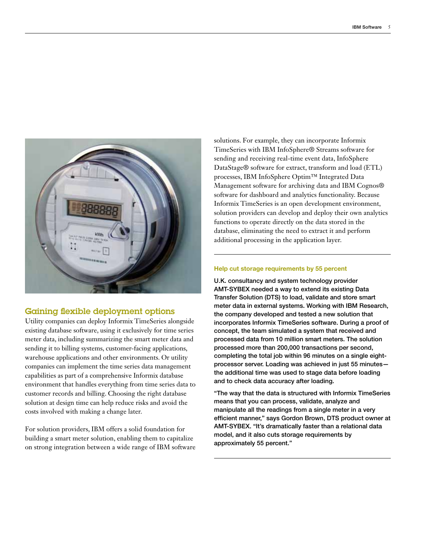

## Gaining flexible deployment options

Utility companies can deploy Informix TimeSeries alongside existing database software, using it exclusively for time series meter data, including summarizing the smart meter data and sending it to billing systems, customer-facing applications, warehouse applications and other environments. Or utility companies can implement the time series data management capabilities as part of a comprehensive Informix database environment that handles everything from time series data to customer records and billing. Choosing the right database solution at design time can help reduce risks and avoid the costs involved with making a change later.

For solution providers, IBM offers a solid foundation for building a smart meter solution, enabling them to capitalize on strong integration between a wide range of IBM software

solutions. For example, they can incorporate Informix TimeSeries with IBM InfoSphere® Streams software for sending and receiving real-time event data, InfoSphere DataStage® software for extract, transform and load (ETL) processes, IBM InfoSphere Optim™ Integrated Data Management software for archiving data and IBM Cognos® software for dashboard and analytics functionality. Because Informix TimeSeries is an open development environment, solution providers can develop and deploy their own analytics functions to operate directly on the data stored in the database, eliminating the need to extract it and perform additional processing in the application layer.

## Help cut storage requirements by 55 percent

U.K. consultancy and system technology provider AMT-SYBEX needed a way to extend its existing Data Transfer Solution (DTS) to load, validate and store smart meter data in external systems. Working with IBM Research, the company developed and tested a new solution that incorporates Informix TimeSeries software. During a proof of concept, the team simulated a system that received and processed data from 10 million smart meters. The solution processed more than 200,000 transactions per second, completing the total job within 96 minutes on a single eightprocessor server. Loading was achieved in just 55 minutes the additional time was used to stage data before loading and to check data accuracy after loading.

"The way that the data is structured with Informix TimeSeries means that you can process, validate, analyze and manipulate all the readings from a single meter in a very efficient manner," says Gordon Brown, DTS product owner at AMT-SYBEX. "It's dramatically faster than a relational data model, and it also cuts storage requirements by approximately 55 percent."